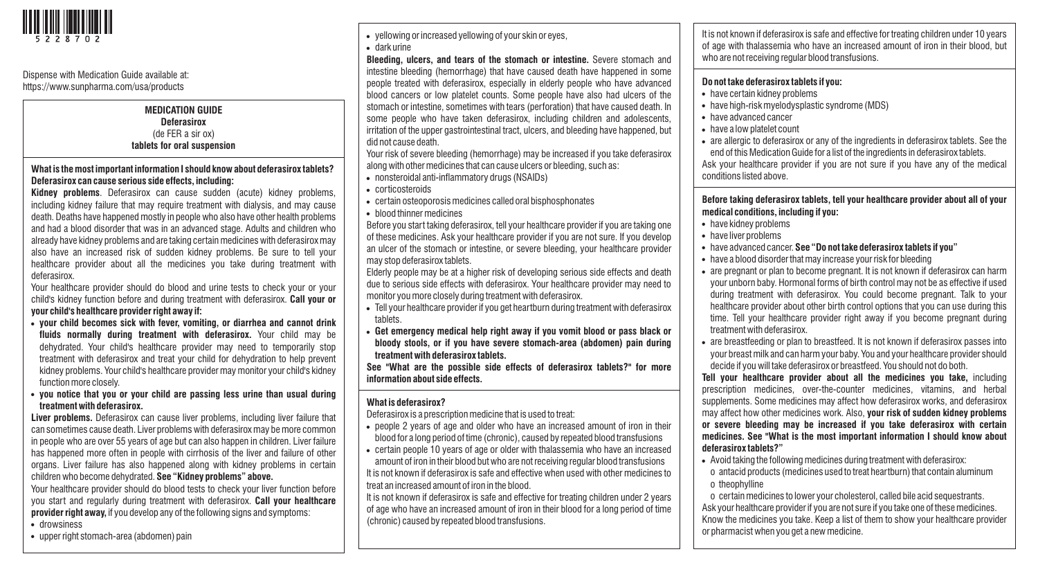

### Dispense with Medication Guide available at: https://www.sunpharma.com/usa/products

### **MEDICATION GUIDE Deferasirox**  (de FER a sir ox) **tablets for oral suspension**

## **What is the most important information I should know about deferasirox tablets? Deferasirox can cause serious side effects, including:**

**Kidney problems**. Deferasirox can cause sudden (acute) kidney problems, including kidney failure that may require treatment with dialysis, and may cause death. Deaths have happened mostly in people who also have other health problems and had a blood disorder that was in an advanced stage. Adults and children who already have kidney problems and are taking certain medicines with deferasirox may also have an increased risk of sudden kidney problems. Be sure to tell your healthcare provider about all the medicines you take during treatment with deferasirox.

Your healthcare provider should do blood and urine tests to check your or your child's kidney function before and during treatment with deferasirox. **Call your or your child's healthcare provider right away if:**

- ! **your child becomes sick with fever, vomiting, or diarrhea and cannot drink fluids normally during treatment with deferasirox.** Your child may be dehydrated. Your child's healthcare provider may need to temporarily stop treatment with deferasirox and treat your child for dehydration to help prevent kidney problems. Your child's healthcare provider may monitor your child's kidney function more closely.
- ! **you notice that you or your child are passing less urine than usual during treatment with deferasirox.**

**Liver problems.** Deferasirox can cause liver problems, including liver failure that can sometimes cause death. Liver problems with deferasirox may be more common in people who are over 55 years of age but can also happen in children. Liver failure has happened more often in people with cirrhosis of the liver and failure of other organs. Liver failure has also happened along with kidney problems in certain children who become dehydrated. **See "Kidney problems" above.** 

Your healthcare provider should do blood tests to check your liver function before you start and regularly during treatment with deferasirox. **Call your healthcare provider right away,** if you develop any of the following signs and symptoms: • drowsiness

• upper right stomach-area (abdomen) pain

. yellowing or increased yellowing of your skin or eyes, . dark urine

**Bleeding, ulcers, and tears of the stomach or intestine.** Severe stomach and intestine bleeding (hemorrhage) that have caused death have happened in some people treated with deferasirox, especially in elderly people who have advanced blood cancers or low platelet counts. Some people have also had ulcers of the stomach or intestine, sometimes with tears (perforation) that have caused death. In some people who have taken deferasirox, including children and adolescents, irritation of the upper gastrointestinal tract, ulcers, and bleeding have happened, but did not cause death.

Your risk of severe bleeding (hemorrhage) may be increased if you take deferasirox along with other medicines that can cause ulcers or bleeding, such as:

- . nonsteroidal anti-inflammatory drugs (NSAIDs)
- corticosteroids
- certain osteoporosis medicines called oral bisphosphonates
- blood thinner medicines

Before you start taking deferasirox, tell your healthcare provider if you are taking one of these medicines. Ask your healthcare provider if you are not sure. If you develop an ulcer of the stomach or intestine, or severe bleeding, your healthcare provider may stop deferasirox tablets.

Elderly people may be at a higher risk of developing serious side effects and death due to serious side effects with deferasirox. Your healthcare provider may need to monitor you more closely during treatment with deferasirox.

- . Tell your healthcare provider if you get heartburn during treatment with deferasirox tablets.
- ! **Get emergency medical help right away if you vomit blood or pass black or bloody stools, or if you have severe stomach-area (abdomen) pain during treatment with deferasirox tablets.**

**See "What are the possible side effects of deferasirox tablets?" for more information about side effects.**

# **What is deferasirox?**

Deferasirox is a prescription medicine that is used to treat:

- people 2 years of age and older who have an increased amount of iron in their blood for a long period of time (chronic), caused by repeated blood transfusions
- ! certain people 10 years of age or older with thalassemia who have an increased amount of iron in their blood but who are not receiving regular blood transfusions It is not known if deferasirox is safe and effective when used with other medicines to treat an increased amount of iron in the blood.

It is not known if deferasirox is safe and effective for treating children under 2 years of age who have an increased amount of iron in their blood for a long period of time (chronic) caused by repeated blood transfusions.

It is not known if deferasirox is safe and effective for treating children under 10 years of age with thalassemia who have an increased amount of iron in their blood, but who are not receiving regular blood transfusions.

## **Do not take deferasirox tablets if you:**

- . have certain kidney problems
- . have high-risk myelodysplastic syndrome (MDS)
- have advanced cancer
- have a low platelet count
- are allergic to deferasirox or any of the ingredients in deferasirox tablets. See the end of this Medication Guide for a list of the ingredients in deferasirox tablets. Ask your healthcare provider if you are not sure if you have any of the medical conditions listed above.

**Before taking deferasirox tablets, tell your healthcare provider about all of your medical conditions, including if you:** 

- . have kidney problems
- have liver problems
- ! have advanced cancer. **See "Do not take deferasirox tablets if you"**
- have a blood disorder that may increase your risk for bleeding
- are pregnant or plan to become pregnant. It is not known if deferasirox can harm your unborn baby. Hormonal forms of birth control may not be as effective if used during treatment with deferasirox. You could become pregnant. Talk to your healthcare provider about other birth control options that you can use during this time. Tell your healthcare provider right away if you become pregnant during treatment with deferasirox.
- are breastfeeding or plan to breastfeed. It is not known if deferasirox passes into your breast milk and can harm your baby. You and your healthcare provider should decide if you will take deferasirox or breastfeed. You should not do both.

**Tell your healthcare provider about all the medicines you take,** including prescription medicines, over-the-counter medicines, vitamins, and herbal supplements. Some medicines may affect how deferasirox works, and deferasirox may affect how other medicines work. Also, **your risk of sudden kidney problems or severe bleeding may be increased if you take deferasirox with certain medicines. See "What is the most important information I should know about deferasirox tablets?"** 

- . Avoid taking the following medicines during treatment with deferasirox:
- o antacid products (medicines used to treat heartburn) that contain aluminum o theophylline

o certain medicines to lower your cholesterol, called bile acid sequestrants. Ask your healthcare provider if you are not sure if you take one of these medicines. Know the medicines you take. Keep a list of them to show your healthcare provider or pharmacist when you get a new medicine.